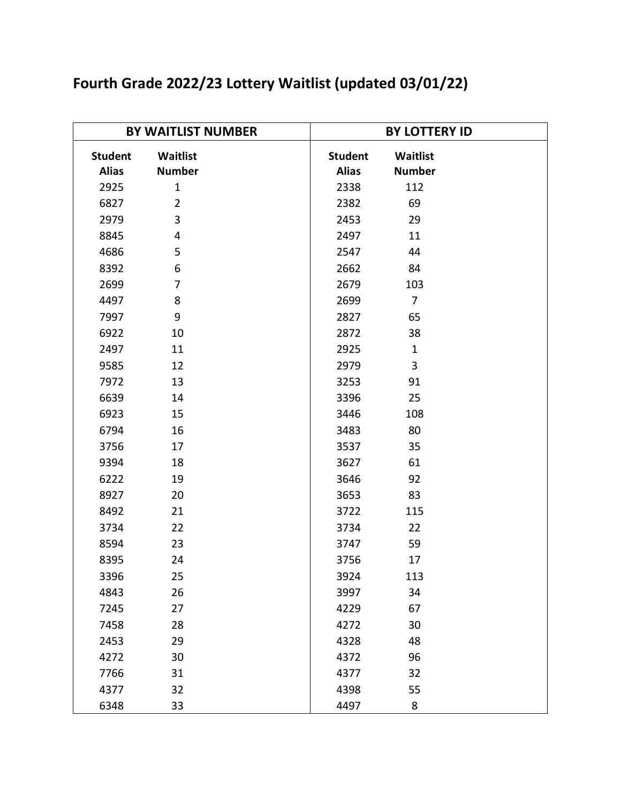| Fourth Grade 2022/23 Lottery Waitlist (updated 03/01/22) |  |  |  |  |  |  |
|----------------------------------------------------------|--|--|--|--|--|--|
|----------------------------------------------------------|--|--|--|--|--|--|

| <b>BY WAITLIST NUMBER</b>      |                           | <b>BY LOTTERY ID</b>           |                           |  |
|--------------------------------|---------------------------|--------------------------------|---------------------------|--|
| <b>Student</b><br><b>Alias</b> | Waitlist<br><b>Number</b> | <b>Student</b><br><b>Alias</b> | Waitlist<br><b>Number</b> |  |
| 2925                           | $\mathbf{1}$              | 2338                           | 112                       |  |
| 6827                           | $\overline{2}$            | 2382                           | 69                        |  |
| 2979                           | 3                         | 2453                           | 29                        |  |
| 8845                           | 4                         | 2497                           | 11                        |  |
| 4686                           | 5                         | 2547                           | 44                        |  |
| 8392                           | 6                         | 2662                           | 84                        |  |
| 2699                           | $\overline{7}$            | 2679                           | 103                       |  |
| 4497                           | 8                         | 2699                           | $\overline{7}$            |  |
| 7997                           | 9                         | 2827                           | 65                        |  |
| 6922                           | 10                        | 2872                           | 38                        |  |
| 2497                           | 11                        | 2925                           | $\mathbf{1}$              |  |
| 9585                           | 12                        | 2979                           | 3                         |  |
| 7972                           | 13                        | 3253                           | 91                        |  |
| 6639                           | 14                        | 3396                           | 25                        |  |
| 6923                           | 15                        | 3446                           | 108                       |  |
| 6794                           | 16                        | 3483                           | 80                        |  |
| 3756                           | 17                        | 3537                           | 35                        |  |
| 9394                           | 18                        | 3627                           | 61                        |  |
| 6222                           | 19                        | 3646                           | 92                        |  |
| 8927                           | 20                        | 3653                           | 83                        |  |
| 8492                           | 21                        | 3722                           | 115                       |  |
| 3734                           | 22                        | 3734                           | 22                        |  |
| 8594                           | 23                        | 3747                           | 59                        |  |
| 8395                           | 24                        | 3756                           | 17                        |  |
| 3396                           | 25                        | 3924                           | 113                       |  |
| 4843                           | 26                        | 3997                           | 34                        |  |
| 7245                           | 27                        | 4229                           | 67                        |  |
| 7458                           | 28                        | 4272                           | 30                        |  |
| 2453                           | 29                        | 4328                           | 48                        |  |
| 4272                           | 30                        | 4372                           | 96                        |  |
| 7766                           | 31                        | 4377                           | 32                        |  |
| 4377                           | 32                        | 4398                           | 55                        |  |
| 6348                           | 33                        | 4497                           | 8                         |  |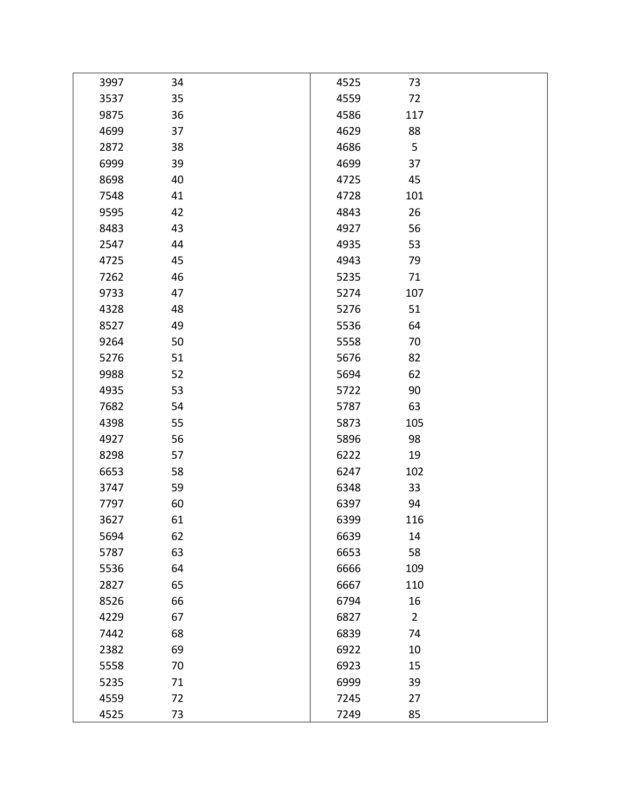| 3997 | 34 | 4525 | 73             |  |
|------|----|------|----------------|--|
| 3537 | 35 | 4559 | 72             |  |
| 9875 | 36 | 4586 | 117            |  |
| 4699 | 37 | 4629 | 88             |  |
| 2872 | 38 | 4686 | 5              |  |
| 6999 | 39 | 4699 | 37             |  |
| 8698 | 40 | 4725 | 45             |  |
| 7548 | 41 | 4728 | 101            |  |
| 9595 | 42 | 4843 | 26             |  |
| 8483 | 43 | 4927 | 56             |  |
| 2547 | 44 | 4935 | 53             |  |
| 4725 | 45 | 4943 | 79             |  |
| 7262 | 46 | 5235 | 71             |  |
| 9733 | 47 | 5274 | 107            |  |
| 4328 | 48 | 5276 | 51             |  |
| 8527 | 49 | 5536 | 64             |  |
| 9264 | 50 | 5558 | 70             |  |
| 5276 | 51 | 5676 | 82             |  |
| 9988 | 52 | 5694 | 62             |  |
| 4935 | 53 | 5722 | 90             |  |
| 7682 | 54 | 5787 | 63             |  |
| 4398 | 55 | 5873 | 105            |  |
| 4927 | 56 | 5896 | 98             |  |
| 8298 | 57 | 6222 | 19             |  |
| 6653 | 58 | 6247 | 102            |  |
| 3747 | 59 | 6348 | 33             |  |
| 7797 | 60 | 6397 | 94             |  |
| 3627 | 61 | 6399 | 116            |  |
| 5694 | 62 | 6639 | 14             |  |
| 5787 | 63 | 6653 | 58             |  |
| 5536 | 64 | 6666 | 109            |  |
| 2827 | 65 | 6667 | 110            |  |
| 8526 | 66 | 6794 | 16             |  |
| 4229 | 67 | 6827 | $\overline{2}$ |  |
| 7442 | 68 | 6839 | 74             |  |
| 2382 | 69 | 6922 | 10             |  |
| 5558 | 70 | 6923 | 15             |  |
| 5235 | 71 | 6999 | 39             |  |
| 4559 | 72 | 7245 | 27             |  |
| 4525 | 73 | 7249 | 85             |  |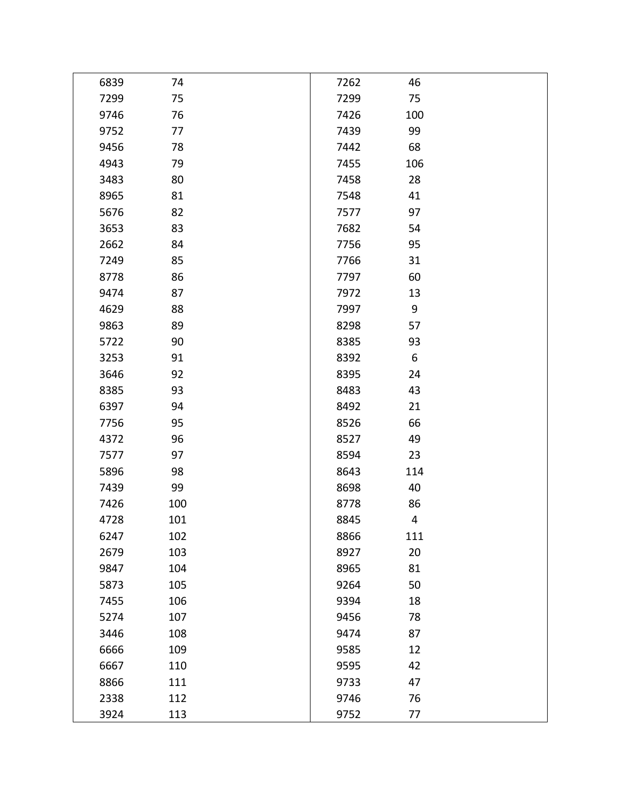| 6839 | 74  | 7262 | 46  |  |
|------|-----|------|-----|--|
| 7299 | 75  | 7299 | 75  |  |
| 9746 | 76  | 7426 | 100 |  |
| 9752 | 77  | 7439 | 99  |  |
| 9456 | 78  | 7442 | 68  |  |
| 4943 | 79  | 7455 | 106 |  |
| 3483 | 80  | 7458 | 28  |  |
| 8965 | 81  | 7548 | 41  |  |
| 5676 | 82  | 7577 | 97  |  |
| 3653 | 83  | 7682 | 54  |  |
| 2662 | 84  | 7756 | 95  |  |
| 7249 | 85  | 7766 | 31  |  |
| 8778 | 86  | 7797 | 60  |  |
| 9474 | 87  | 7972 | 13  |  |
| 4629 | 88  | 7997 | 9   |  |
| 9863 | 89  | 8298 | 57  |  |
| 5722 | 90  | 8385 | 93  |  |
| 3253 | 91  | 8392 | 6   |  |
| 3646 | 92  | 8395 | 24  |  |
| 8385 | 93  | 8483 | 43  |  |
| 6397 | 94  | 8492 | 21  |  |
| 7756 | 95  | 8526 | 66  |  |
| 4372 | 96  | 8527 | 49  |  |
| 7577 | 97  | 8594 | 23  |  |
| 5896 | 98  | 8643 | 114 |  |
| 7439 | 99  | 8698 | 40  |  |
| 7426 | 100 | 8778 | 86  |  |
| 4728 | 101 | 8845 | 4   |  |
| 6247 | 102 | 8866 | 111 |  |
| 2679 | 103 | 8927 | 20  |  |
| 9847 | 104 | 8965 | 81  |  |
| 5873 | 105 | 9264 | 50  |  |
| 7455 | 106 | 9394 | 18  |  |
| 5274 | 107 | 9456 | 78  |  |
| 3446 | 108 | 9474 | 87  |  |
| 6666 | 109 | 9585 | 12  |  |
| 6667 | 110 | 9595 | 42  |  |
| 8866 | 111 | 9733 | 47  |  |
| 2338 | 112 | 9746 | 76  |  |
| 3924 | 113 | 9752 | 77  |  |